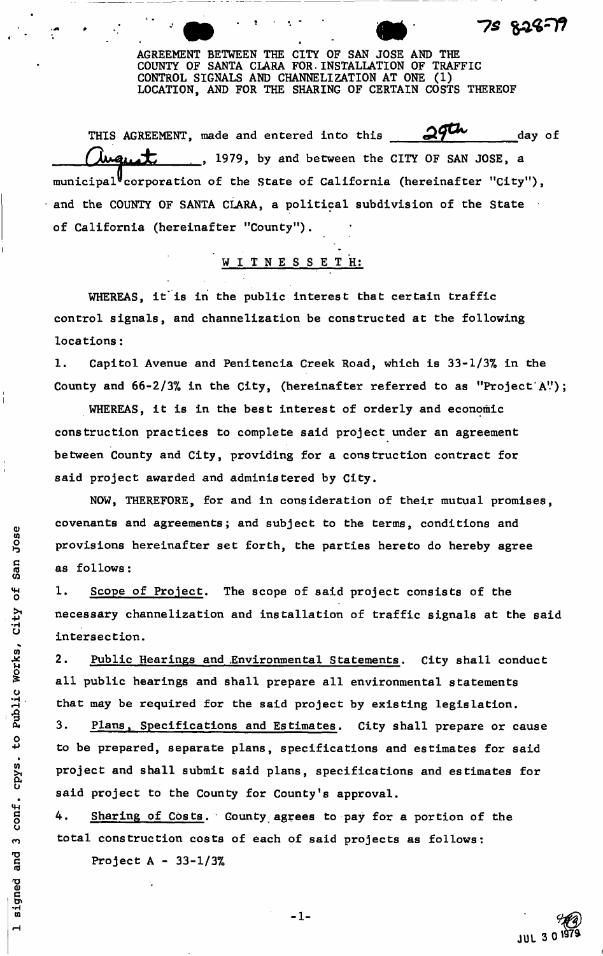AGREEMENT BETWEEN THE CITY OF SAN JOSE AND THE COUNTY OF SANTA CLARA FOR.INSTALLATION OF TRAFFIC CONTROL SIGNALS AND CHANNELIZATION AT ONE (1) LOCATION, AND FOR THE SHARING OF CERTAIN COSTS THEREOF

75 829

? ' -

THIS AGREEMENT, made and entered into this  $\frac{29}{100}$  day of , 1979, by and between the CITY OF SAN JOSE, a municipal<sup> $V$ </sup>corporation of the State of California (hereinafter "City"), and the COUNTY OF SANTA CLARA, a political subdivision of the State of California (hereinafter "County").

WITNESSETH:

WHEREAS, it is in the public interest that certain traffic control signals, and channelization be constructed at the following locations:

1. Capitol Avenue and Penitencia Creek Road, which is 33-1/3% in the County and  $66 - 2/3%$  in the City, (hereinafter referred to as "Project A");

WHEREAS, it is in the best interest of orderly and economic construction practices to complete said project under an agreement between County and City, providing for a construction contract for said project awarded and administered by City.

NOW, THEREFORE, for and in consideration of their mutual promises, covenants and agreements; and subject to the terms, conditions and provisions hereinafter set forth, the parties hereto do hereby agree as follows:

1. Scope of Project. The scope of said project consists of the necessary channelization and installation of traffic signals at the said intersection.

2. Public Hearings and Environmental Statements. City shall conduct all public hearings and shall prepare all environmental statements that may be required for the said project by existing legislation.

3. Plans, Specifications and Estimates. City shall prepare or cause to be prepared, separate plans, specifications and estimates for said project and shall submit said plans, specifications and estimates for said project to the County for County's approval.

4. Sharing of Costs. County agrees to pay for a portion of the total construction costs of each of said projects as follows:

Project A - 33-1/3%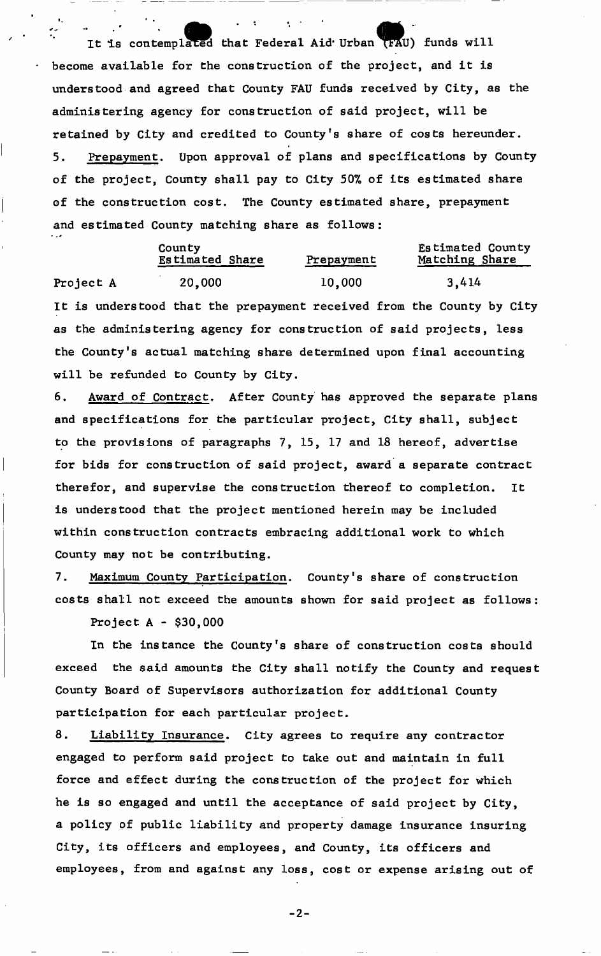It is contemplated that Federal Aid Urban (FAU) funds will become available for the construction of the project, and it is understood and agreed that County FAU funds received by City, as the administering agency for construction of said project, will be retained by City and credited to County's share of costs hereunder. 5. Prepayment. Upon approval of plans and specifications by County of the project, County shall pay to City 50% of its estimated share of the construction cost. The County estimated share, prepayment and estimated County matching share as follows:

 $\ddot{\bullet}$ 

|           | County<br>Estimated Share                                           | Prepayment | Estimated County<br>Matching Share                                    |  |
|-----------|---------------------------------------------------------------------|------------|-----------------------------------------------------------------------|--|
| Project A | 20,000                                                              | 10,000     | 3,414                                                                 |  |
|           |                                                                     |            | It is understood that the prepayment received from the County by City |  |
|           | as the administering agency for construction of said projects, less |            |                                                                       |  |

the County's actual matching share determined upon final accounting

will be refunded to County by City. 6. Award of Contract. After County has approved the separate plans and specifications for the particular project, City shall, subject to the provisions of paragraphs 7, 15, 17 and 18 hereof, advertise for bids for construction of said project, award a separate contract therefor, and supervise the construction thereof to completion. It is understood that the project mentioned herein may be included

within construction contracts embracing additional work to which County may not be contributing.

7. Maximum County Participation. County's share of construction costs shall not exceed the amounts shown for said project as follows:

Project A - \$30,000

In the instance the County's share of construction costs should exceed the said amounts the City shall notify the County and request County Board of Supervisors authorization for additional County participation for each particular project.

8. Liability Insurance. City agrees to require any contractor engaged to perform said project to take out and maintain in full force and effect during the construction of the project for which he is so engaged and until the acceptance of said project by City, a policy of public liability and property damage insurance insuring City, its officers and employees, and County, its officers and employees, from and against any loss, cost or expense arising out of

 $-2-$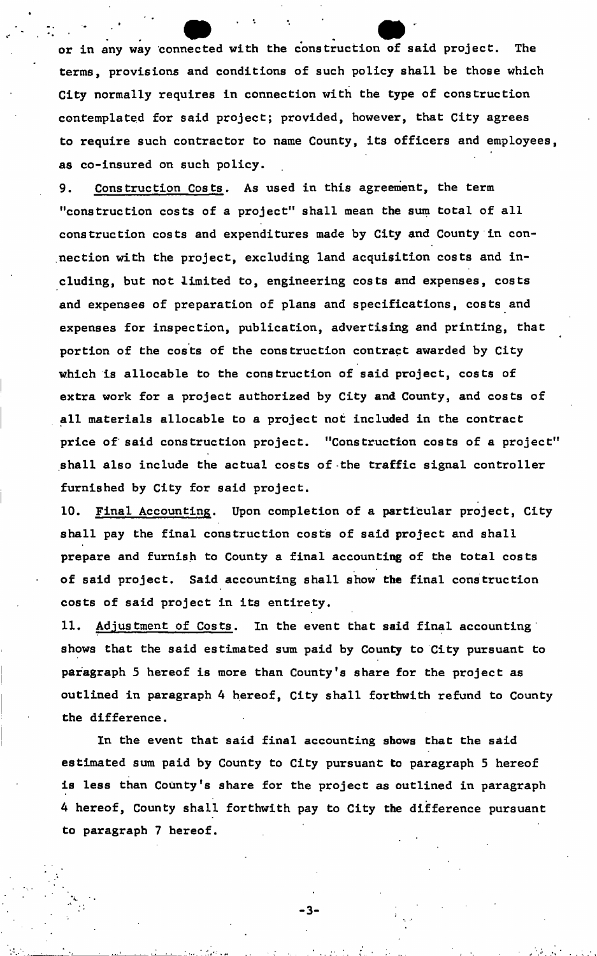or in any way connected with the construction of said project. The terms, provisions and conditions of such policy shall be those which City normally requires in connection with the type of construction contemplated for said project; provided, however, that City agrees to require such contractor to name County, its officers and employees as co-insured on such policy.

9. Construction Costs. As used in this agreement, the term "construction costs of a project" shall mean the sum total of all construction costs and expenditures made by City and County in connection with the project, excluding land acquisition costs and including, but not limited to, engineering costs and expenses, costs and expenses of preparation of plans and specifications, costs and expenses for inspection, publication, advertising and printing, that portion of the costs of the construction contract awarded by City which is allocable to the construction of said project, costs of extra work for a project authorized by City and County, and costs of all materials allocable to a project not included in the contract price of said construction project. "Construction costs of a project" shall also include the actual costs of -the traffic signal controller furnished by City for said project.

10. Final Accounting. Upon completion of a particular project, City shall pay the final construction costs of said project and shall prepare and furnish to County a final accounting of the total costs of said project. Said accounting shall show the final construction costs of said project in its entirety.

11. Adjustment of Costs. In the event that said final accounting shows that the said estimated sum paid by County to City pursuant to paragraph 5 hereof is more than County's share for the project as outlined in paragraph 4 hereof, City shall forthwith refund to County the difference.

In the event that said final accounting shows that the said estimated sum paid by County to City pursuant to paragraph 5 hereof is less than County's share for the project as outlined in paragraph 4 hereof, County shall forthwith pay to City the difference pursuant to paragraph 7 hereof.

-3-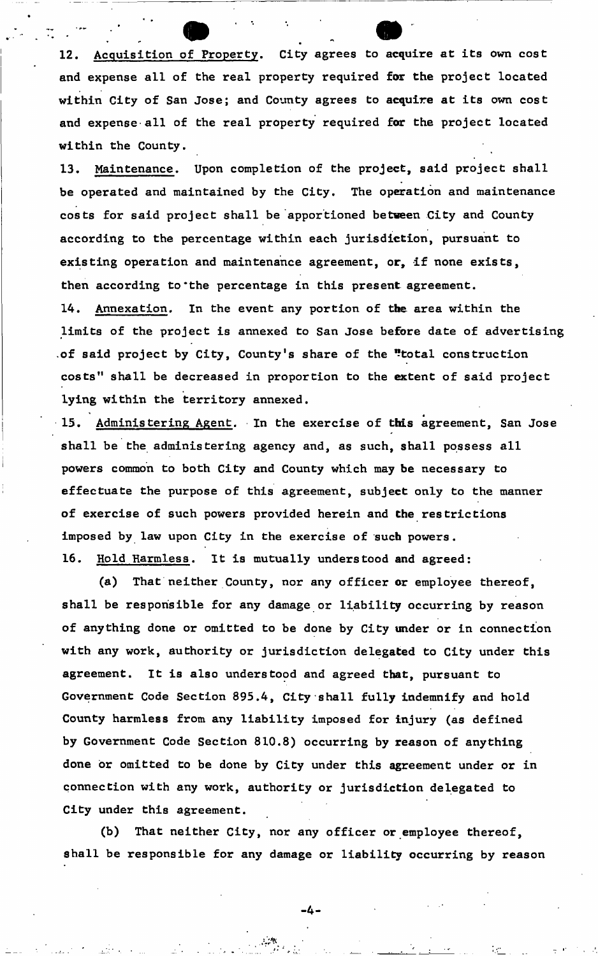12. Acquisition of Property. City agrees to acquire at its own cost and expense all of the real property required for the project located within City of San Jose; and County agrees to acquire at its own cost and expense-all of the real property required for the project located within the County.

13. Maintenance. Upon completion of the project, said project shall be operated and maintained by the City. The operation and maintenance costs for said project shall be apportioned between City and County according to the percentage within each jurisdiction, pursuant to existing operation and maintenance agreement, or, if none exists, then according to'the percentage in this present agreement. 14. Annexation. In the event any portion of the area within the limits of the project is annexed to San Jose before date of advertising .of said project by City, County's share of the "total construction costs" shall be decreased in proportion to the extent of said project lying within the territory annexed.

\*  $\frac{1}{2}$ .  $\frac{1}{2}$  and  $\frac{1}{2}$  and  $\frac{1}{2}$  are exercise of this agreement, San Jose shall be the administering agency and, as such, shall possess all powers common to both City and County which may be necessary to effectuate the purpose of this agreement, subject only to the manner of exercise of such powers provided herein and the restrictions imposed by law upon City in the exercise of such powers. 16. Hold Harmless. It is mutually understood and agreed:

(a) That neither County, nor any officer or employee thereof, shall be responsible for any damage or liability occurring by reason of anything done or omitted to be done by City under or in connection with any work, authority or jurisdiction delegated to City under this agreement. It is also understood and agreed that, pursuant to Government Code Section 895.4, City shall fully indemnify and hold County harmless from any liability imposed for injury (as defined by Government Code Section 810.8) occurring by reason of anything done or omitted to be done by City under this agreement under or in connection with any work, authority or jurisdiction delegated to City under this agreement.

(b) That neither City, nor any officer or employee thereof, shall be responsible for any damage or liability occurring by reason

-4-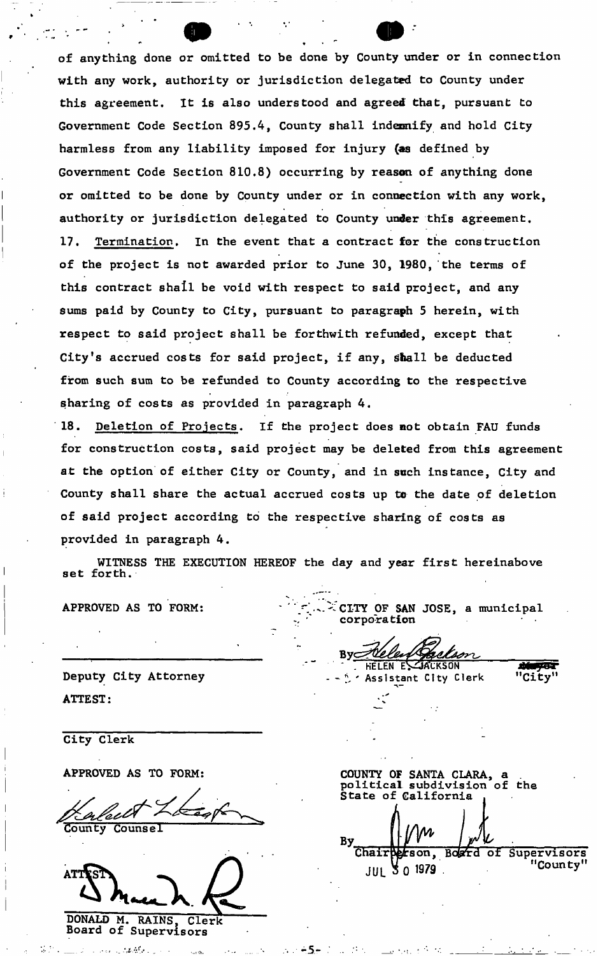of anything done or omitted to be done by County under or in connection with any work, authority or jurisdiction delegated to County under this agreement. It is also understood and agreed that, pursuant to Government Code Section 895.4, County shall indemnify and hold City harmless from any liability imposed for injury (as defined by Government Code Section 810.8) occurring by reason of anything done or omitted to be done by County under or in connection with any work, authority or jurisdiction delegated to County under this agreement. 17. Termination. In the event that a contract for the construction of the project is not awarded prior to June 30, 1980, the terms of sums paid by County to City, pursuant to paragraph 5 herein, with respect to said project shall be forthwith refunded, except that City's accrued costs for said project, if any, shall be deducted from such sum to be refunded to County according to the respective sharing of costs as provided in paragraph 4 . this contract shall be void with respect to said project, and any

18. Deletion of Projects. If the project does not obtain FAU funds for construction costs, said project may be deleted from this agreement at the option of either City or County, and in such instance, City and County shall share the actual accrued costs up to the date of deletion of said project according to the respective sharing of costs as provided in paragraph 4 .

WITNESS THE EXECUTION HEREOF the day and year first hereinabove set forth.

- 5

APPROVED AS TO FORM: CITY OF SAN JOSE, a municipal corporation

By⊆ HELEN EL JACKSON

Assistant City Clerk

ਦਰਬ "City"

Deputy City Attorney ATTEST

City Clerk

APPROVED AS TO FORM: COUNTY OF SANTA CLARA, a

leelt **County** Counsel

AΤT DONALD M. RAINS, Clerk

Board of Supervisors

political subdivision of the By<br>Chair tson, Board of Supervisors "County" **JUL 30 1979**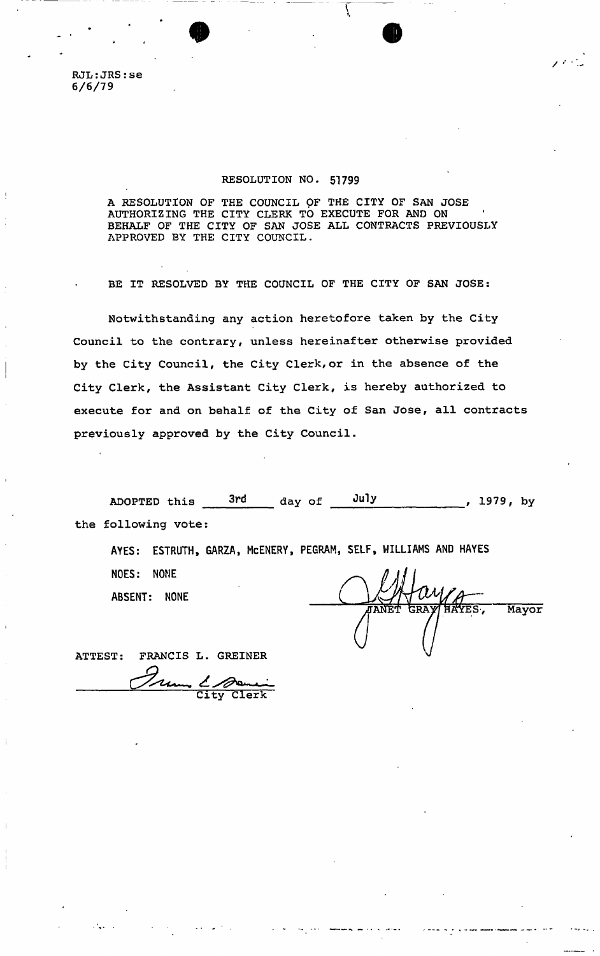RJL:JRS:se 6/6/79

### RESOLUTION NO. 51799

A RESOLUTION OF THE COUNCIL OF THE CITY OF SAN JOSE AUTHORIZING THE CITY CLERK TO EXECUTE FOR AND ON BEHALF OF THE CITY OF SAN JOSE ALL CONTRACTS PREVIOUSLY APPROVED BY THE CITY COUNCIL.

 $\bullet$   $\bullet$ 

/ '

BE IT RESOLVED BY THE COUNCIL OF THE CITY OF SAN JOSE:

Notwithstanding any action heretofore taken by the City Council to the contrary, unless hereinafter otherwise provided by the City Council, the City Clerk,or in the absence of the City Clerk, the Assistant City Clerk, is hereby authorized to execute for and on behalf of the City of San Jose, all contracts previously approved by the City Council.

ADOPTED this 3rd day of Ju1 y , 1979, by the following votes

**AYES: ESTRUTH, GARZA, McENERY, PEGRAM, SELF, WILLIAMS AND HAYES NOES: NONE ABSENT: NONE** 

YES. Mayor

ATTEST: FRANCIS L. GREINER

um & Some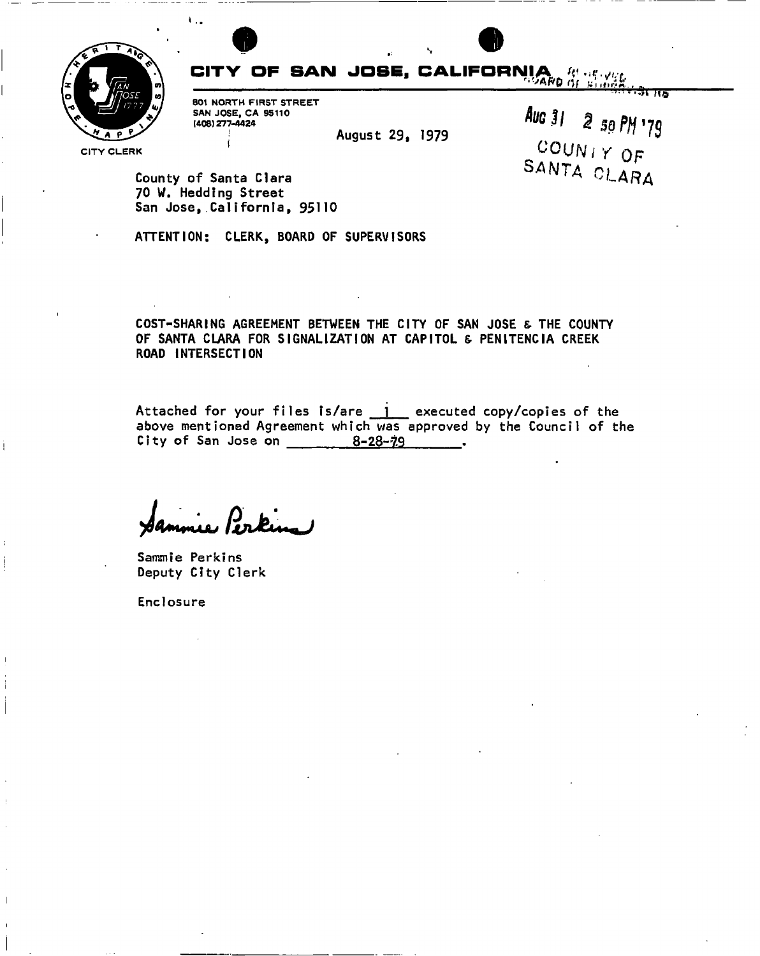

# CITY OF SAN JOSE, CALIFORNIA  $g_{\alpha}$

801 NORTH FIRST STREET SAN JOSE, CA 95110 (406) 277-4424

August 29, 1979

Auc 31 2 50 PM 179 COUNTY OF SANTA CLARA

उँदाला

County of Santa Clara 70 W. Hedding Street San Jose, California, 95110

ATTENTION: CLERK, BOARD OF SUPERVISORS

COST-SHARING AGREEMENT BETWEEN THE CITY OF SAN JOSE & THE COUNTY OF SANTA CLARA FOR SIGNALIZATION AT CAPITOL & PENITENCIA CREEK ROAD INTERSECTION

Attached for your files is/are j executed copy/copies of the above mentioned Agreement which was approved by the Council of the City of San Jose on  $8-28-7.9$ 

ue Perking

Sammie Perkins Deputy City Clerk

Enclosure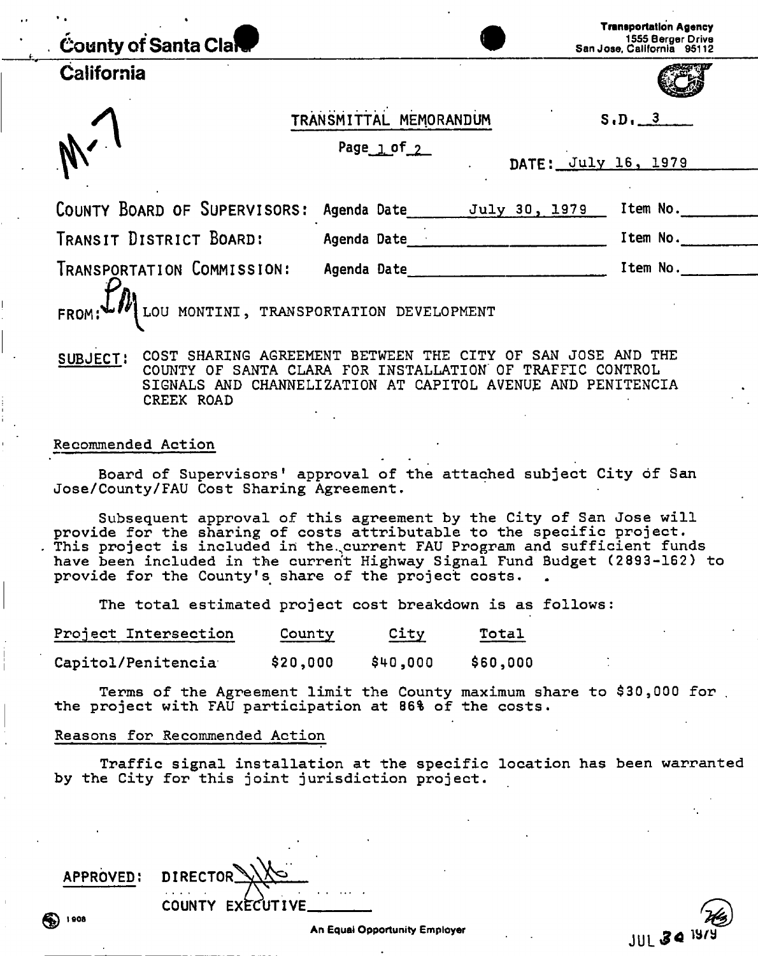| <b>County of Santa Clary</b>                                          |                                                                                                                |                     | <b>Transportation Agency</b><br>1555 Berger Drive<br>San Jose, California 95112 |
|-----------------------------------------------------------------------|----------------------------------------------------------------------------------------------------------------|---------------------|---------------------------------------------------------------------------------|
| California                                                            |                                                                                                                |                     |                                                                                 |
|                                                                       | TRANSMITTAL MEMORANDUM                                                                                         |                     | S.D. 3                                                                          |
|                                                                       | Page $1$ of $2$                                                                                                | DATE: July 16, 1979 |                                                                                 |
| COUNTY BOARD OF SUPERVISORS: Agenda Date July 30, 1979                |                                                                                                                |                     | Item No.                                                                        |
| TRANSIT DISTRICT BOARD:                                               | Agenda Date and the state of the state of the state of the state of the state of the state of the state of the |                     | Item No.                                                                        |
| TRANSPORTATION COMMISSION:                                            | Agenda Date                                                                                                    |                     | Item No.                                                                        |
| FROM: $LIV$ LOU MONTINI, TRANSPORTATION DEVELOPMENT                   |                                                                                                                |                     |                                                                                 |
| oun Lest, COST SHARING ACREEMENT RETWEEN THE CITY OF SAN JOSE AND THE |                                                                                                                |                     |                                                                                 |

SUBJECT: SHARING AGREEMENT BETWEEN THE CITY OF SAN JOSE AND THE COUNTY OF SANTA CLARA FOR INSTALLATION" OF TRAFFIC CONTROL SIGNALS AND CHANNELIZATION AT CAPITOL AVENUE AND PENITENCIA CREEK ROAD

#### Recommended Action

Board of Supervisors' approval of the attached subject City of San Jose/County/FAU Cost Sharing Agreement.

Subsequent approval of this agreement by the City of San Jose will provide for the sharing of costs attributable to the specific project. This project is included in the. current FAU Program and sufficient funds have been included in the current Highway Signal Fund Budget (2893-162) to provide for the County's share of the project costs.

The total estimated project cost breakdown is as follows:

| Project Intersection | County   | City     | Total    |
|----------------------|----------|----------|----------|
| Capitol/Penitencia   | \$20,000 | \$40,000 | \$60,000 |

Terms of the Agreement limit the County maximum share to \$30,000 for . the project with FAU participation at 86% of the costs.

#### Reasons for Recommended Action

Traffic signal installation at the specific location has been warranted by the City for this joint jurisdiction project.

APPROVED: DIRECTOR COUNTY EXECUTIVE

**JUL 34 19**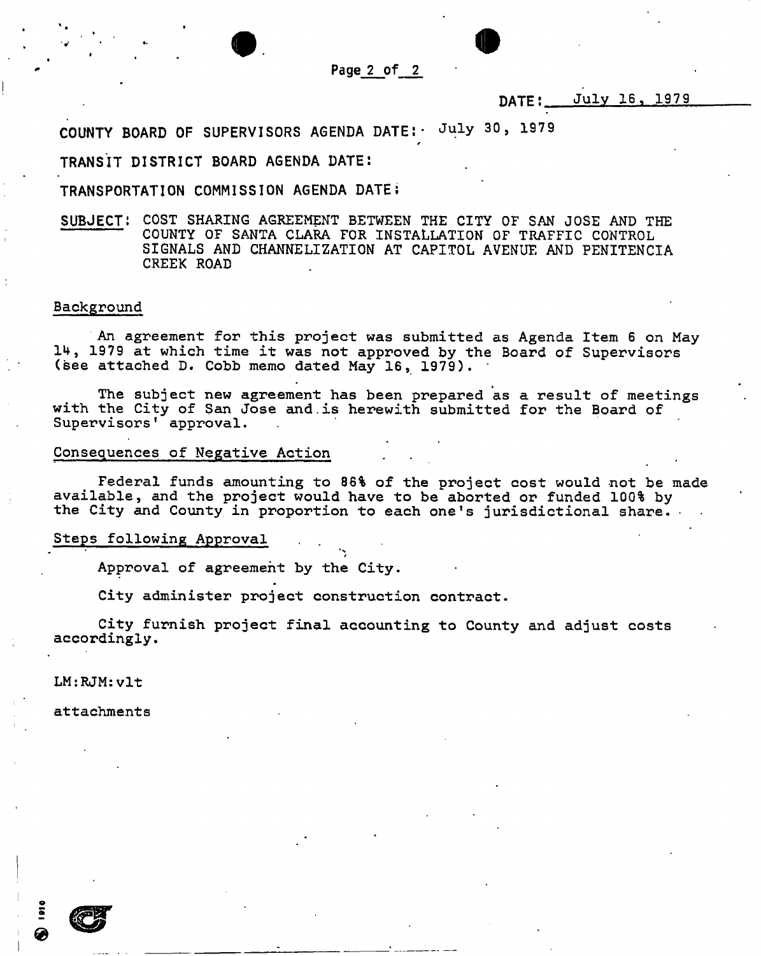

*F* 

## **DATE: July 16, 1979**

**COUNTY BOARD OF SUPERVISORS AGENDA DATE:- July 30, 1979** 

**TRANSIT DISTRICT BOARD AGENDA DATE:** 

**TRANSPORTATION COMMISSION AGENDA DATE;** 

**SUBJECT:** COST SHARING AGREEMENT BETWEEN THE CITY OF SAN JOSE AND THE COUNTY OF SANTA CLARA FOR INSTALLATION OF TRAFFIC CONTROL SIGNALS AND CHANNELIZATION AT CAPITOL AVENUE AND PENITENCIA CREEK ROAD

#### Background

An agreement for this project was submitted as Agenda Item 6 on May 1 4, 1979 at which time it was not approved by the Board of Supervisors (see attached D. Cobb memo dated May 16, 1979).

The subject new agreement has been prepared as a result of meetings with the City of San Jose and.is herewith submitted for the Board of 1 Supervisors approval.

#### Consequences of Negative Action

Federal funds amounting to 86% of the project cost would not be made available, and the project would have to be aborted or funded 100% by the City and County in proportion to each one's jurisdictional share. •

Steps following Approval

Approval of agreement by the City.

City administer project construction contract.

City furnish project final accounting to County and adjust costs accordingly.

LM:RJM:vlt

attachments

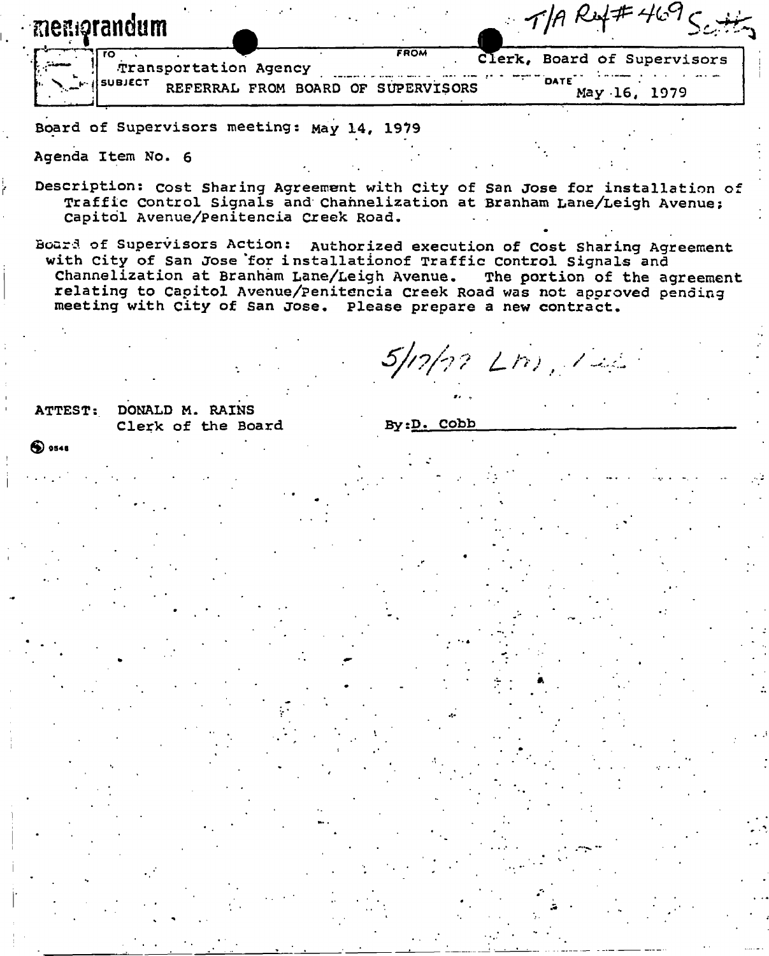|       | menorandum            |                                    | $\sim$ 10 $\sim$ 1          | .            |
|-------|-----------------------|------------------------------------|-----------------------------|--------------|
| سمعتى | Transportation Agency | <b>FROM</b>                        | Clerk, Board of Supervisors |              |
|       | <b>ISUBJECT</b>       | REFERRAL FROM BOARD OF SUPERVISORS | DATE                        | May 16, 1979 |

Board of Supervisors meeting: May 14, 1979

Agenda Item No. 6

Description: cost Sharing Agreement with City of San Jose for installation of Traffic Control Signals and Channelization at Branham Lane/Leigh Avenue; Capitol Avenue/Penitencia Creek Road.

Boar3 of Supervisors Action: Authorized execution of Cost Sharing Agreement with City of San Jose 'for installationof Traffic Control Signals and Channelization at Branham Lane/Leigh Avenue. The portion of the agreement relating to Capitol Avenue/penitencia creek Road was not approved pending meeting with City of San Jose. Please prepare a new contract.

5/17/12 Lnj, 122

 $1001 \pm 469$ 

ATTEST: DONALD M. RAINS Clerk of the Board

By:D. Cobb

**®** <sup>094</sup> <sup>8</sup>